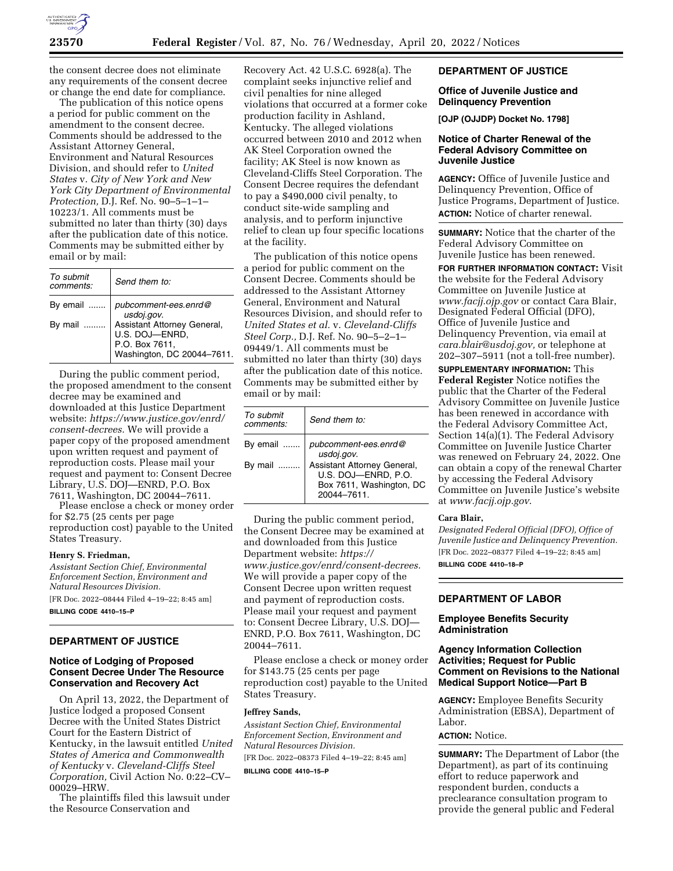

the consent decree does not eliminate any requirements of the consent decree or change the end date for compliance.

The publication of this notice opens a period for public comment on the amendment to the consent decree. Comments should be addressed to the Assistant Attorney General, Environment and Natural Resources Division, and should refer to *United States* v. *City of New York and New York City Department of Environmental Protection,* D.J. Ref. No. 90–5–1–1– 10223/1. All comments must be submitted no later than thirty (30) days after the publication date of this notice. Comments may be submitted either by email or by mail:

| To submit<br>comments: | Send them to:                                                                                 |
|------------------------|-----------------------------------------------------------------------------------------------|
| By email               | pubcomment-ees.enrd@<br>usdoj.gov.                                                            |
| By mail                | Assistant Attorney General,<br>U.S. DOJ-ENRD,<br>P.O. Box 7611,<br>Washington, DC 20044-7611. |

During the public comment period, the proposed amendment to the consent decree may be examined and downloaded at this Justice Department website: *[https://www.justice.gov/enrd/](https://www.justice.gov/enrd/consent-decrees) [consent-decrees.](https://www.justice.gov/enrd/consent-decrees)* We will provide a paper copy of the proposed amendment upon written request and payment of reproduction costs. Please mail your request and payment to: Consent Decree Library, U.S. DOJ—ENRD, P.O. Box

7611, Washington, DC 20044–7611. Please enclose a check or money order for \$2.75 (25 cents per page reproduction cost) payable to the United States Treasury.

### **Henry S. Friedman,**

*Assistant Section Chief, Environmental Enforcement Section, Environment and Natural Resources Division.* 

[FR Doc. 2022–08444 Filed 4–19–22; 8:45 am] **BILLING CODE 4410–15–P** 

#### **DEPARTMENT OF JUSTICE**

#### **Notice of Lodging of Proposed Consent Decree Under The Resource Conservation and Recovery Act**

On April 13, 2022, the Department of Justice lodged a proposed Consent Decree with the United States District Court for the Eastern District of Kentucky, in the lawsuit entitled *United States of America and Commonwealth of Kentucky* v. *Cleveland-Cliffs Steel Corporation,* Civil Action No. 0:22–CV– 00029–HRW.

The plaintiffs filed this lawsuit under the Resource Conservation and

Recovery Act. 42 U.S.C. 6928(a). The complaint seeks injunctive relief and civil penalties for nine alleged violations that occurred at a former coke production facility in Ashland, Kentucky. The alleged violations occurred between 2010 and 2012 when AK Steel Corporation owned the facility; AK Steel is now known as Cleveland-Cliffs Steel Corporation. The Consent Decree requires the defendant to pay a \$490,000 civil penalty, to conduct site-wide sampling and analysis, and to perform injunctive relief to clean up four specific locations at the facility.

The publication of this notice opens a period for public comment on the Consent Decree. Comments should be addressed to the Assistant Attorney General, Environment and Natural Resources Division, and should refer to *United States et al.* v. *Cleveland-Cliffs Steel Corp.,* D.J. Ref. No. 90–5–2–1– 09449/1. All comments must be submitted no later than thirty (30) days after the publication date of this notice. Comments may be submitted either by email or by mail:

| To submit<br>comments: | Send them to:                                                     |
|------------------------|-------------------------------------------------------------------|
| By email<br>By mail    | pubcomment-ees.enrd@<br>usdoj.gov.<br>Assistant Attorney General, |
|                        | U.S. DOJ-ENRD, P.O.<br>Box 7611, Washington, DC<br>20044-7611     |

During the public comment period, the Consent Decree may be examined at and downloaded from this Justice Department website: *[https://](https://www.justice.gov/enrd/consent-decrees) [www.justice.gov/enrd/consent-decrees.](https://www.justice.gov/enrd/consent-decrees)*  We will provide a paper copy of the Consent Decree upon written request and payment of reproduction costs. Please mail your request and payment to: Consent Decree Library, U.S. DOJ— ENRD, P.O. Box 7611, Washington, DC 20044–7611.

Please enclose a check or money order for \$143.75 (25 cents per page reproduction cost) payable to the United States Treasury.

#### **Jeffrey Sands,**

*Assistant Section Chief, Environmental Enforcement Section, Environment and Natural Resources Division.*  [FR Doc. 2022–08373 Filed 4–19–22; 8:45 am]

**BILLING CODE 4410–15–P** 

### **DEPARTMENT OF JUSTICE**

#### **Office of Juvenile Justice and Delinquency Prevention**

**[OJP (OJJDP) Docket No. 1798]** 

#### **Notice of Charter Renewal of the Federal Advisory Committee on Juvenile Justice**

**AGENCY:** Office of Juvenile Justice and Delinquency Prevention, Office of Justice Programs, Department of Justice. **ACTION:** Notice of charter renewal.

**SUMMARY:** Notice that the charter of the Federal Advisory Committee on Juvenile Justice has been renewed.

**FOR FURTHER INFORMATION CONTACT:** Visit the website for the Federal Advisory Committee on Juvenile Justice at *[www.facjj.ojp.gov](http://www.facjj.ojp.gov)* or contact Cara Blair, Designated Federal Official (DFO), Office of Juvenile Justice and Delinquency Prevention, via email at *[cara.blair@usdoj.gov,](mailto:cara.blair@usdoj.gov)* or telephone at 202–307–5911 (not a toll-free number).

**SUPPLEMENTARY INFORMATION:** This **Federal Register** Notice notifies the public that the Charter of the Federal Advisory Committee on Juvenile Justice has been renewed in accordance with the Federal Advisory Committee Act, Section 14(a)(1). The Federal Advisory Committee on Juvenile Justice Charter was renewed on February 24, 2022. One can obtain a copy of the renewal Charter by accessing the Federal Advisory Committee on Juvenile Justice's website at *[www.facjj.ojp.gov](http://www.facjj.ojp.gov)*.

#### **Cara Blair,**

*Designated Federal Official (DFO), Office of Juvenile Justice and Delinquency Prevention.*  [FR Doc. 2022–08377 Filed 4–19–22; 8:45 am] **BILLING CODE 4410–18–P** 

# **DEPARTMENT OF LABOR**

#### **Employee Benefits Security Administration**

#### **Agency Information Collection Activities; Request for Public Comment on Revisions to the National Medical Support Notice—Part B**

**AGENCY:** Employee Benefits Security Administration (EBSA), Department of Labor.

## **ACTION:** Notice.

**SUMMARY:** The Department of Labor (the Department), as part of its continuing effort to reduce paperwork and respondent burden, conducts a preclearance consultation program to provide the general public and Federal